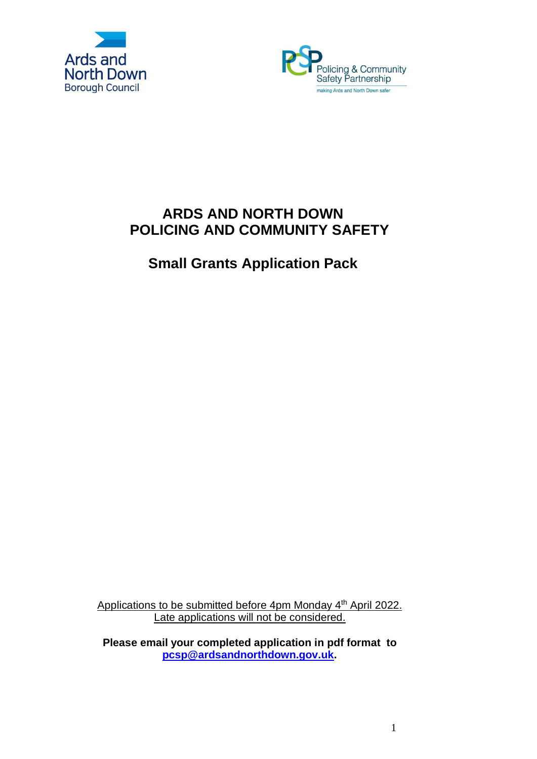



# **ARDS AND NORTH DOWN POLICING AND COMMUNITY SAFETY**

**Small Grants Application Pack**

Applications to be submitted before 4pm Monday 4<sup>th</sup> April 2022. Late applications will not be considered.

**Please email your completed application in pdf format to [pcsp@ardsandnorthdown.gov.uk.](mailto:pcsp@ardsandnorthdown.gov.uk)**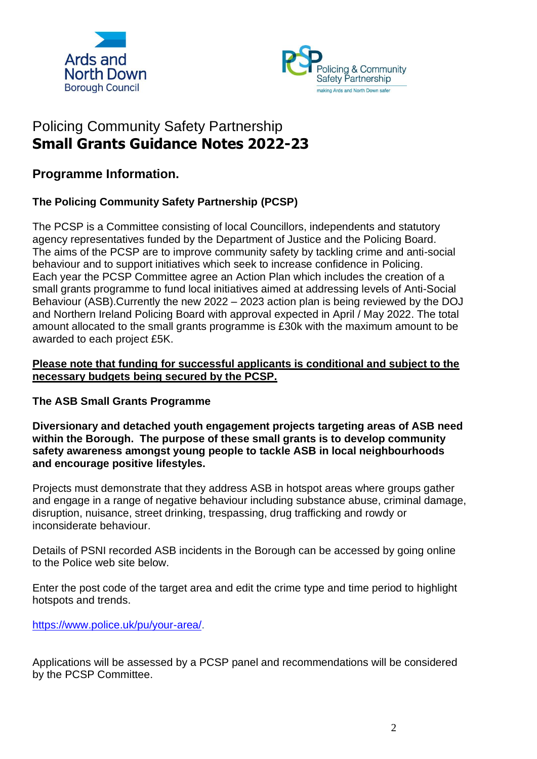



# Policing Community Safety Partnership **Small Grants Guidance Notes 2022-23**

**Programme Information.**

## **The Policing Community Safety Partnership (PCSP)**

The PCSP is a Committee consisting of local Councillors, independents and statutory agency representatives funded by the Department of Justice and the Policing Board. The aims of the PCSP are to improve community safety by tackling crime and anti-social behaviour and to support initiatives which seek to increase confidence in Policing. Each year the PCSP Committee agree an Action Plan which includes the creation of a small grants programme to fund local initiatives aimed at addressing levels of Anti-Social Behaviour (ASB).Currently the new 2022 – 2023 action plan is being reviewed by the DOJ and Northern Ireland Policing Board with approval expected in April / May 2022. The total amount allocated to the small grants programme is £30k with the maximum amount to be awarded to each project £5K.

## **Please note that funding for successful applicants is conditional and subject to the necessary budgets being secured by the PCSP.**

## **The ASB Small Grants Programme**

**Diversionary and detached youth engagement projects targeting areas of ASB need within the Borough. The purpose of these small grants is to develop community safety awareness amongst young people to tackle ASB in local neighbourhoods and encourage positive lifestyles.**

Projects must demonstrate that they address ASB in hotspot areas where groups gather and engage in a range of negative behaviour including substance abuse, criminal damage, disruption, nuisance, street drinking, trespassing, drug trafficking and rowdy or inconsiderate behaviour.

Details of PSNI recorded ASB incidents in the Borough can be accessed by going online to the Police web site below.

Enter the post code of the target area and edit the crime type and time period to highlight hotspots and trends.

[https://www.police.uk/pu/your-area/.](https://www.police.uk/pu/your-area/)

Applications will be assessed by a PCSP panel and recommendations will be considered by the PCSP Committee.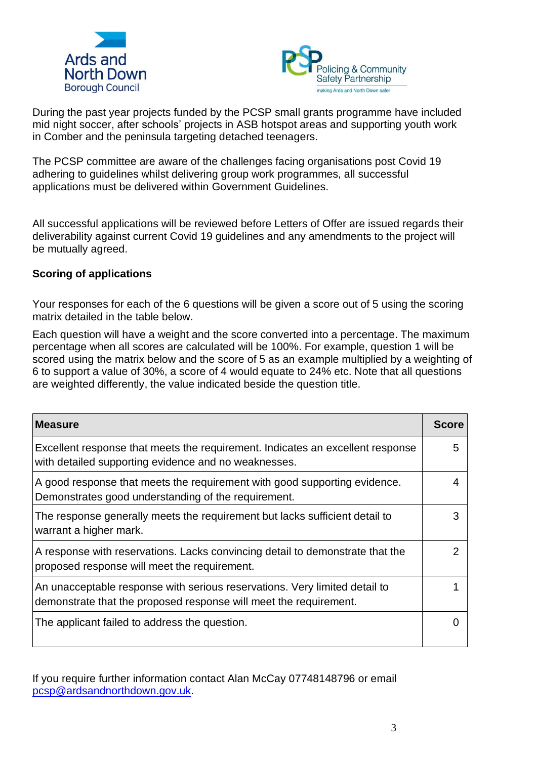



During the past year projects funded by the PCSP small grants programme have included mid night soccer, after schools' projects in ASB hotspot areas and supporting youth work in Comber and the peninsula targeting detached teenagers.

The PCSP committee are aware of the challenges facing organisations post Covid 19 adhering to guidelines whilst delivering group work programmes, all successful applications must be delivered within Government Guidelines.

All successful applications will be reviewed before Letters of Offer are issued regards their deliverability against current Covid 19 guidelines and any amendments to the project will be mutually agreed.

## **Scoring of applications**

Your responses for each of the 6 questions will be given a score out of 5 using the scoring matrix detailed in the table below.

Each question will have a weight and the score converted into a percentage. The maximum percentage when all scores are calculated will be 100%. For example, question 1 will be scored using the matrix below and the score of 5 as an example multiplied by a weighting of 6 to support a value of 30%, a score of 4 would equate to 24% etc. Note that all questions are weighted differently, the value indicated beside the question title.

| <b>Measure</b>                                                                                                                                  | <b>Score</b> |
|-------------------------------------------------------------------------------------------------------------------------------------------------|--------------|
| Excellent response that meets the requirement. Indicates an excellent response<br>with detailed supporting evidence and no weaknesses.          | 5            |
| A good response that meets the requirement with good supporting evidence.<br>Demonstrates good understanding of the requirement.                | 4            |
| The response generally meets the requirement but lacks sufficient detail to<br>warrant a higher mark.                                           | 3            |
| A response with reservations. Lacks convincing detail to demonstrate that the<br>proposed response will meet the requirement.                   | 2            |
| An unacceptable response with serious reservations. Very limited detail to<br>demonstrate that the proposed response will meet the requirement. |              |
| The applicant failed to address the question.                                                                                                   |              |

If you require further information contact Alan McCay 07748148796 or email [pcsp@ardsandnorthdown.gov.uk.](mailto:pcsp@ardsandnorthdown.gov.uk)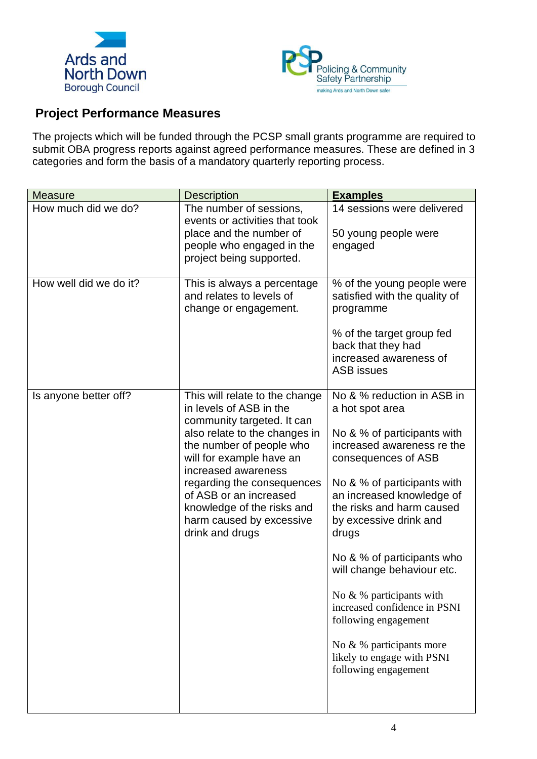



## **Project Performance Measures**

The projects which will be funded through the PCSP small grants programme are required to submit OBA progress reports against agreed performance measures. These are defined in 3 categories and form the basis of a mandatory quarterly reporting process.

| <b>Measure</b>         | <b>Description</b>                                                                                                                                                                                                                                                                                                                           | <b>Examples</b>                                                                                                                                                                                                                                                                                                                                                                                                                                                                                       |
|------------------------|----------------------------------------------------------------------------------------------------------------------------------------------------------------------------------------------------------------------------------------------------------------------------------------------------------------------------------------------|-------------------------------------------------------------------------------------------------------------------------------------------------------------------------------------------------------------------------------------------------------------------------------------------------------------------------------------------------------------------------------------------------------------------------------------------------------------------------------------------------------|
| How much did we do?    | The number of sessions,<br>events or activities that took<br>place and the number of<br>people who engaged in the<br>project being supported.                                                                                                                                                                                                | 14 sessions were delivered<br>50 young people were<br>engaged                                                                                                                                                                                                                                                                                                                                                                                                                                         |
| How well did we do it? | This is always a percentage<br>and relates to levels of<br>change or engagement.                                                                                                                                                                                                                                                             | % of the young people were<br>satisfied with the quality of<br>programme<br>% of the target group fed<br>back that they had<br>increased awareness of<br><b>ASB</b> issues                                                                                                                                                                                                                                                                                                                            |
| Is anyone better off?  | This will relate to the change<br>in levels of ASB in the<br>community targeted. It can<br>also relate to the changes in<br>the number of people who<br>will for example have an<br>increased awareness<br>regarding the consequences<br>of ASB or an increased<br>knowledge of the risks and<br>harm caused by excessive<br>drink and drugs | No & % reduction in ASB in<br>a hot spot area<br>No & % of participants with<br>increased awareness re the<br>consequences of ASB<br>No & % of participants with<br>an increased knowledge of<br>the risks and harm caused<br>by excessive drink and<br>drugs<br>No & % of participants who<br>will change behaviour etc.<br>No $&$ % participants with<br>increased confidence in PSNI<br>following engagement<br>No $\& \%$ participants more<br>likely to engage with PSNI<br>following engagement |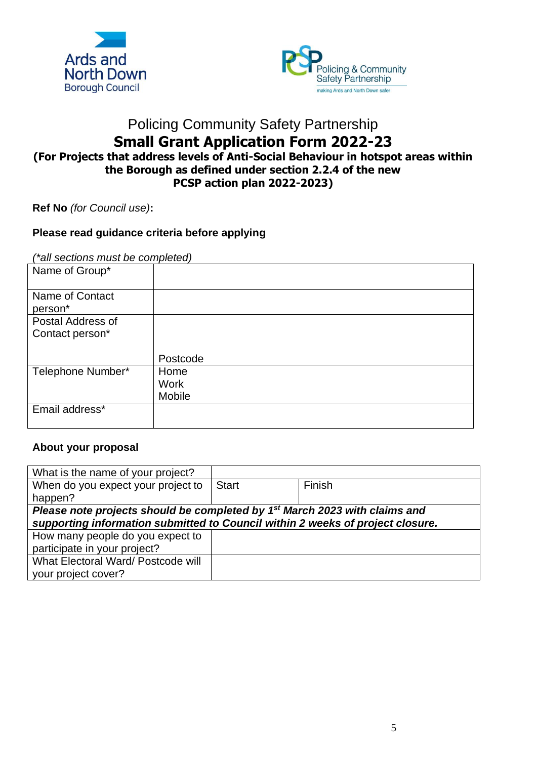



## Policing Community Safety Partnership **Small Grant Application Form 2022-23 (For Projects that address levels of Anti-Social Behaviour in hotspot areas within the Borough as defined under section 2.2.4 of the new PCSP action plan 2022-2023)**

**Ref No** *(for Council use)***:**

## **Please read guidance criteria before applying**

*(\*all sections must be completed)*

| Name of Group*    |             |
|-------------------|-------------|
| Name of Contact   |             |
| person*           |             |
| Postal Address of |             |
| Contact person*   |             |
|                   |             |
|                   | Postcode    |
| Telephone Number* | Home        |
|                   | <b>Work</b> |
|                   | Mobile      |
| Email address*    |             |

#### **About your proposal**

| What is the name of your project?                                                      |              |        |  |  |
|----------------------------------------------------------------------------------------|--------------|--------|--|--|
| When do you expect your project to                                                     | <b>Start</b> | Finish |  |  |
| happen?                                                                                |              |        |  |  |
| Please note projects should be completed by 1 <sup>st</sup> March 2023 with claims and |              |        |  |  |
| supporting information submitted to Council within 2 weeks of project closure.         |              |        |  |  |
| How many people do you expect to                                                       |              |        |  |  |
| participate in your project?                                                           |              |        |  |  |
| What Electoral Ward/ Postcode will                                                     |              |        |  |  |
| your project cover?                                                                    |              |        |  |  |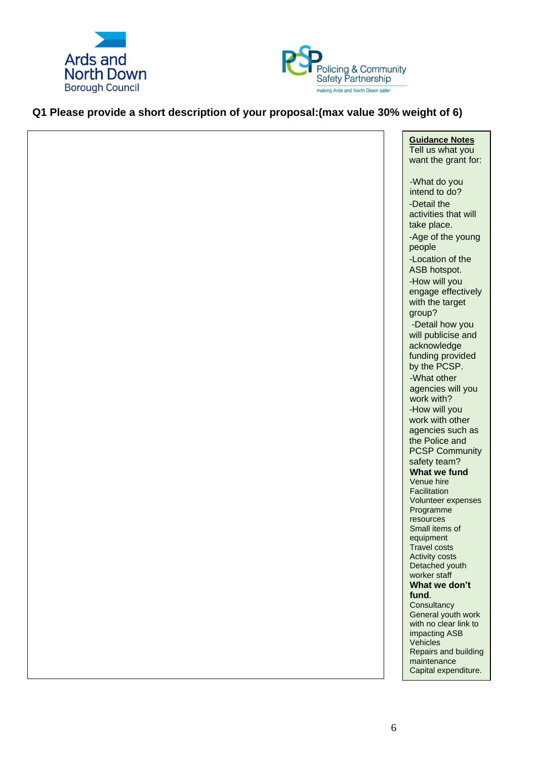



## **Q1 Please provide a short description of your proposal:(max value 30% weight of 6)**

| <b>Guidance Notes</b><br>Tell us what you<br>want the grant for:         |
|--------------------------------------------------------------------------|
| -What do you<br>intend to do?<br>-Detail the<br>activities that will     |
| take place.<br>-Age of the young<br>people<br>-Location of the           |
| ASB hotspot.<br>-How will you                                            |
| engage effectively<br>with the target<br>group?                          |
| -Detail how you<br>will publicise and<br>acknowledge<br>funding provided |
| by the PCSP.<br>-What other<br>agencies will you                         |
| work with?<br>-How will you<br>work with other                           |
| agencies such as<br>the Police and<br><b>PCSP Community</b>              |
| safety team?<br>What we fund<br>Venue hire<br>Facilitation               |
| Volunteer expenses<br>Programme<br>resources                             |
| Small items of<br>equipment<br><b>Travel costs</b>                       |
| <b>Activity costs</b><br>Detached youth<br>worker staff<br>What we don't |
| fund.<br>Consultancy<br>General youth work                               |
| with no clear link to<br>impacting ASB<br>Vehicles                       |
| Repairs and building<br>maintenance<br>Capital expenditure.              |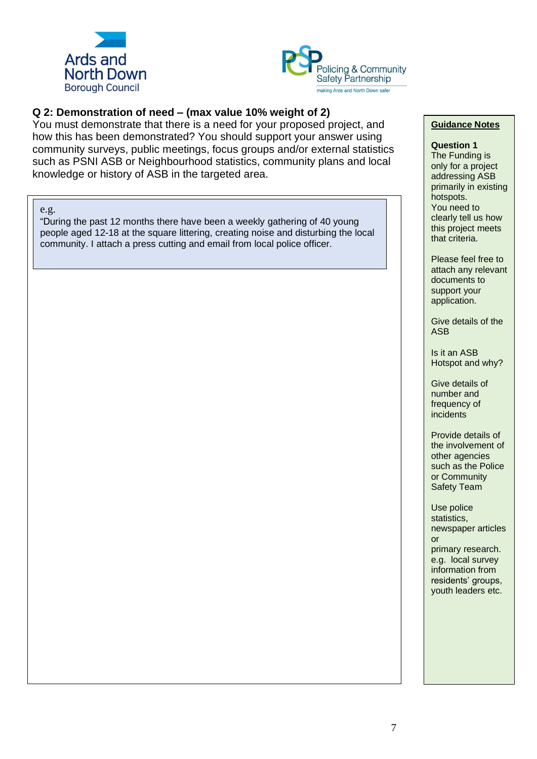



### **Q 2: Demonstration of need – (max value 10% weight of 2)**

You must demonstrate that there is a need for your proposed project, and how this has been demonstrated? You should support your answer using community surveys, public meetings, focus groups and/or external statistics such as PSNI ASB or Neighbourhood statistics, community plans and local knowledge or history of ASB in the targeted area.

#### e.g.

"During the past 12 months there have been a weekly gathering of 40 young people aged 12-18 at the square littering, creating noise and disturbing the local community. I attach a press cutting and email from local police officer.

#### **Guidance Notes**

#### **Question 1**

The Funding is only for a project addressing ASB primarily in existing hotspots. You need to clearly tell us how this project meets that criteria.

Please feel free to attach any relevant documents to support your application.

Give details of the ASB

Is it an ASB Hotspot and why?

Give details of number and frequency of incidents

Provide details of the involvement of other agencies such as the Police or Community Safety Team

Use police statistics, newspaper articles or primary research. e.g. local survey information from residents' groups,

youth leaders etc.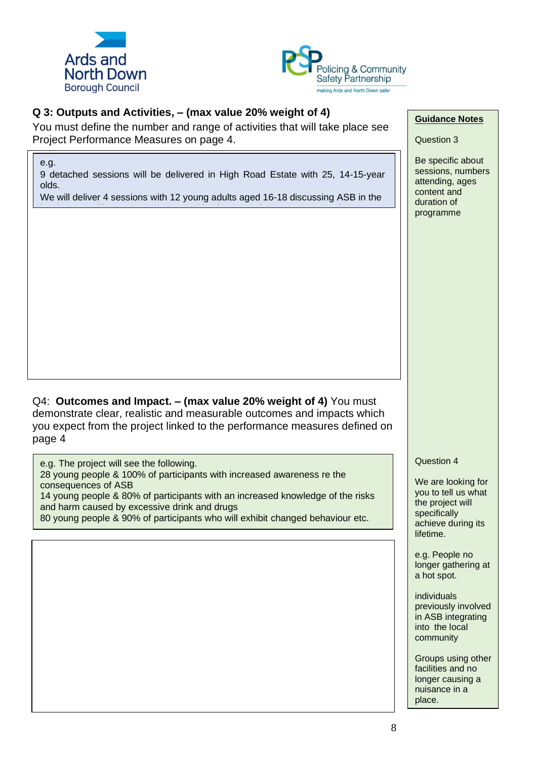



## **Q 3: Outputs and Activities, – (max value 20% weight of 4)**

You must define the number and range of activities that will take place see Project Performance Measures on page 4.

e.g.

9 detached sessions will be delivered in High Road Estate with 25, 14-15-year olds.

We will deliver 4 sessions with 12 young adults aged 16-18 discussing ASB in the local area and how we can connect with other agencies to support a safer

Q4: **Outcomes and Impact. – (max value 20% weight of 4)** You must demonstrate clear, realistic and measurable outcomes and impacts which you expect from the project linked to the performance measures defined on page 4

e.g. The project will see the following. 28 young people & 100% of participants with increased awareness re the consequences of ASB 14 young people & 80% of participants with an increased knowledge of the risks and harm caused by excessive drink and drugs 80 young people & 90% of participants who will exhibit changed behaviour etc.

### **Guidance Notes**

Question 3

Be specific about sessions, numbers attending, ages content and duration of programme

Question 4

We are looking for you to tell us what the project will specifically achieve during its lifetime.

e.g. People no longer gathering at a hot spot.

individuals previously involved in ASB integrating into the local community

Groups using other facilities and no longer causing a nuisance in a place.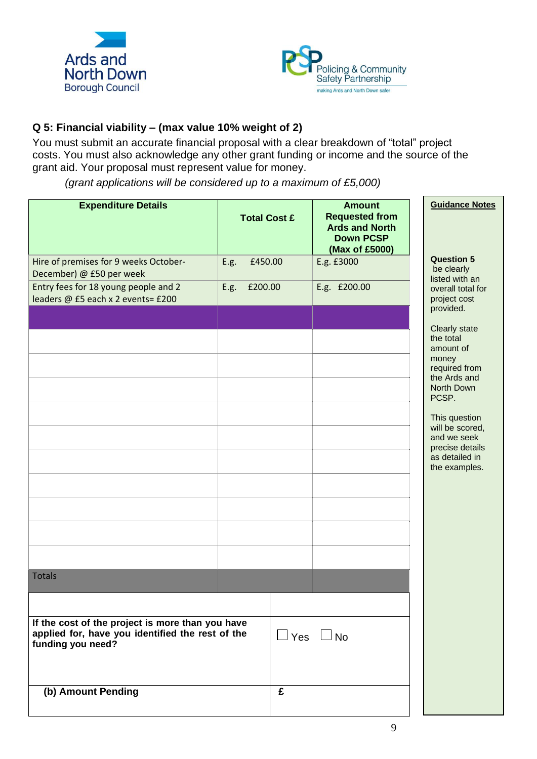



## **Q 5: Financial viability – (max value 10% weight of 2)**

You must submit an accurate financial proposal with a clear breakdown of "total" project costs. You must also acknowledge any other grant funding or income and the source of the grant aid. Your proposal must represent value for money.

*(grant applications will be considered up to a maximum of £5,000)*

| <b>Expenditure Details</b>                                                                                                |      | <b>Total Cost £</b> |                      | <b>Amount</b><br><b>Requested from</b><br><b>Ards and North</b><br><b>Down PCSP</b><br>(Max of £5000) | <b>Guidance Notes</b>                                                                                                                                                                                             |
|---------------------------------------------------------------------------------------------------------------------------|------|---------------------|----------------------|-------------------------------------------------------------------------------------------------------|-------------------------------------------------------------------------------------------------------------------------------------------------------------------------------------------------------------------|
| Hire of premises for 9 weeks October-<br>December) @ £50 per week                                                         | E.g. | £450.00             |                      | E.g. £3000                                                                                            | <b>Question 5</b><br>be clearly<br>listed with an                                                                                                                                                                 |
| Entry fees for 18 young people and 2<br>leaders @ £5 each x 2 events= £200                                                | E.g. | £200.00             |                      | E.g. £200.00                                                                                          | overall total for<br>project cost<br>provided.                                                                                                                                                                    |
|                                                                                                                           |      |                     |                      |                                                                                                       | Clearly state<br>the total<br>amount of<br>money<br>required from<br>the Ards and<br>North Down<br>PCSP.<br>This question<br>will be scored,<br>and we seek<br>precise details<br>as detailed in<br>the examples. |
|                                                                                                                           |      |                     |                      |                                                                                                       |                                                                                                                                                                                                                   |
| <b>Totals</b>                                                                                                             |      |                     |                      |                                                                                                       |                                                                                                                                                                                                                   |
|                                                                                                                           |      |                     |                      |                                                                                                       |                                                                                                                                                                                                                   |
| If the cost of the project is more than you have<br>applied for, have you identified the rest of the<br>funding you need? |      |                     | $\Box$ Yes $\Box$ No |                                                                                                       |                                                                                                                                                                                                                   |
|                                                                                                                           |      |                     |                      |                                                                                                       |                                                                                                                                                                                                                   |
| (b) Amount Pending                                                                                                        |      |                     | £                    |                                                                                                       |                                                                                                                                                                                                                   |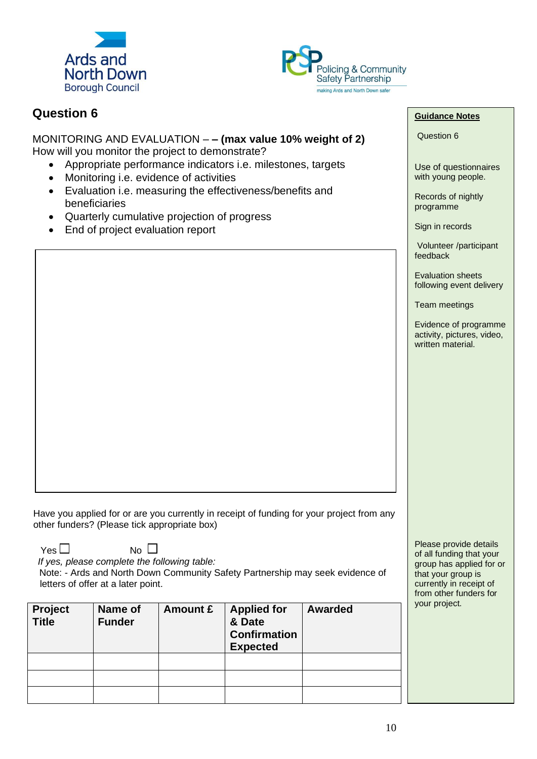



## **Question 6**

MONITORING AND EVALUATION – **– (max value 10% weight of 2)** How will you monitor the project to demonstrate?

- Appropriate performance indicators i.e. milestones, targets
- Monitoring i.e. evidence of activities
- Evaluation i.e. measuring the effectiveness/benefits and beneficiaries
- Quarterly cumulative projection of progress
- End of project evaluation report

Have you applied for or are you currently in receipt of funding for your project from any other funders? (Please tick appropriate box)

 $Yes \Box$  No  $\Box$ 

 *If yes, please complete the following table:* 

Note: - Ards and North Down Community Safety Partnership may seek evidence of letters of offer at a later point.

| Project<br><b>Title</b> | Name of<br><b>Funder</b> | Amount £ | <b>Applied for</b><br>& Date<br><b>Confirmation</b><br><b>Expected</b> | <b>Awarded</b> |
|-------------------------|--------------------------|----------|------------------------------------------------------------------------|----------------|
|                         |                          |          |                                                                        |                |
|                         |                          |          |                                                                        |                |
|                         |                          |          |                                                                        |                |

#### **Guidance Notes**

Question 6

Use of questionnaires with young people.

Records of nightly programme

Sign in records

Volunteer /participant feedback

Evaluation sheets following event delivery

Team meetings

Evidence of programme activity, pictures, video, written material.

Please provide details of all funding that your group has applied for or that your group is currently in receipt of from other funders for your project.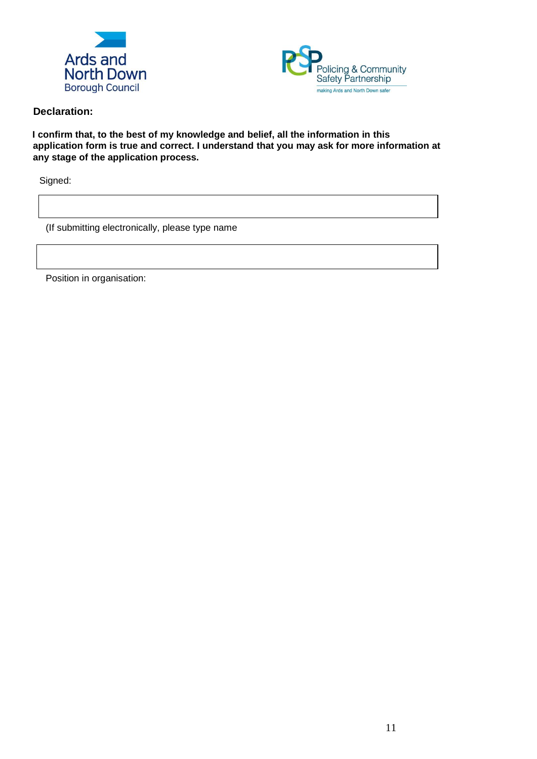



### **Declaration:**

**I confirm that, to the best of my knowledge and belief, all the information in this application form is true and correct. I understand that you may ask for more information at any stage of the application process.** 

Signed:

(If submitting electronically, please type name

Position in organisation: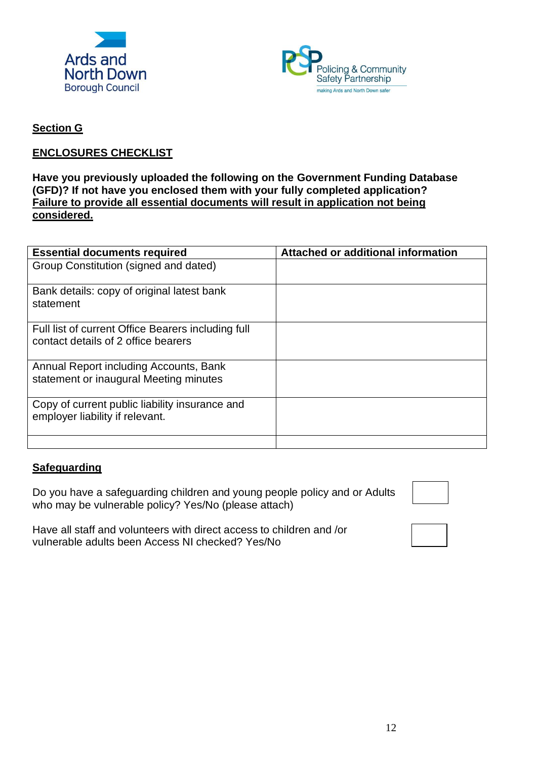



## **Section G**

## **ENCLOSURES CHECKLIST**

## **Have you previously uploaded the following on the Government Funding Database (GFD)? If not have you enclosed them with your fully completed application? Failure to provide all essential documents will result in application not being considered.**

| <b>Essential documents required</b>                                                       | Attached or additional information |
|-------------------------------------------------------------------------------------------|------------------------------------|
| Group Constitution (signed and dated)                                                     |                                    |
| Bank details: copy of original latest bank<br>statement                                   |                                    |
| Full list of current Office Bearers including full<br>contact details of 2 office bearers |                                    |
| Annual Report including Accounts, Bank<br>statement or inaugural Meeting minutes          |                                    |
| Copy of current public liability insurance and<br>employer liability if relevant.         |                                    |
|                                                                                           |                                    |

## **Safeguarding**

Do you have a safeguarding children and young people policy and or Adults who may be vulnerable policy? Yes/No (please attach)



Have all staff and volunteers with direct access to children and /or vulnerable adults been Access NI checked? Yes/No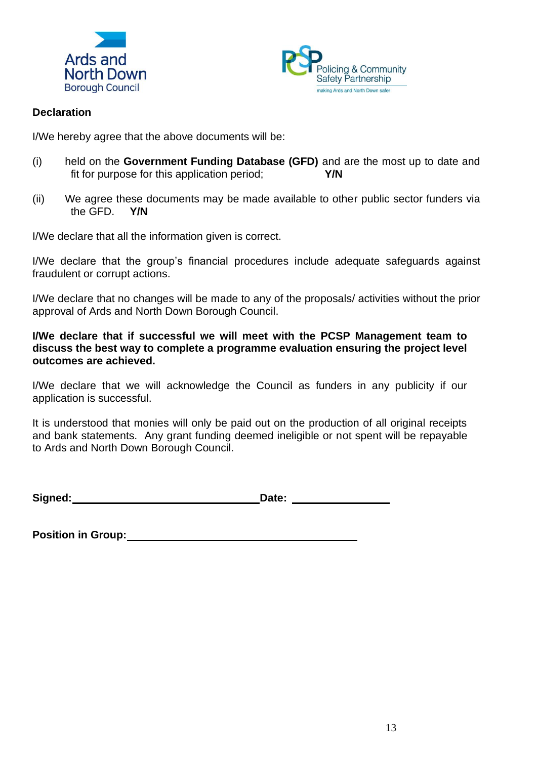



## **Declaration**

I/We hereby agree that the above documents will be:

- (i) held on the **Government Funding Database (GFD)** and are the most up to date and fit for purpose for this application period; **Y/N**
- (ii) We agree these documents may be made available to other public sector funders via the GFD. **Y/N**

I/We declare that all the information given is correct.

I/We declare that the group's financial procedures include adequate safeguards against fraudulent or corrupt actions.

I/We declare that no changes will be made to any of the proposals/ activities without the prior approval of Ards and North Down Borough Council.

**I/We declare that if successful we will meet with the PCSP Management team to discuss the best way to complete a programme evaluation ensuring the project level outcomes are achieved.**

I/We declare that we will acknowledge the Council as funders in any publicity if our application is successful.

It is understood that monies will only be paid out on the production of all original receipts and bank statements. Any grant funding deemed ineligible or not spent will be repayable to Ards and North Down Borough Council.

**Signed: Date:**

**Position in Group:**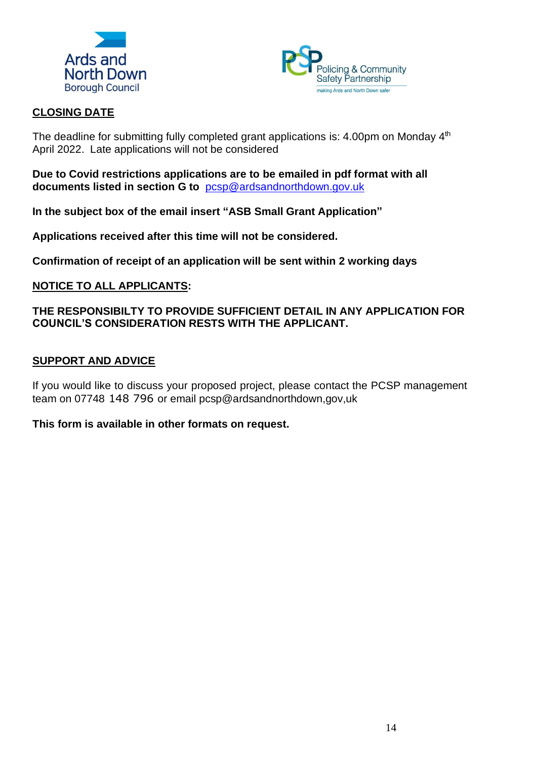



## **CLOSING DATE**

The deadline for submitting fully completed grant applications is: 4.00pm on Monday  $4<sup>th</sup>$ April 2022. Late applications will not be considered

**Due to Covid restrictions applications are to be emailed in pdf format with all documents listed in section G to** [pcsp@ardsandnorthdown.gov.uk](mailto:pcsp@ardsandnorthdown.gov.uk)

**In the subject box of the email insert "ASB Small Grant Application"**

**Applications received after this time will not be considered.**

**Confirmation of receipt of an application will be sent within 2 working days**

## **NOTICE TO ALL APPLICANTS:**

## **THE RESPONSIBILTY TO PROVIDE SUFFICIENT DETAIL IN ANY APPLICATION FOR COUNCIL'S CONSIDERATION RESTS WITH THE APPLICANT.**

## **SUPPORT AND ADVICE**

If you would like to discuss your proposed project, please contact the PCSP management team on 07748 148 796 or email pcsp@ardsandnorthdown,gov,uk

**This form is available in other formats on request.**